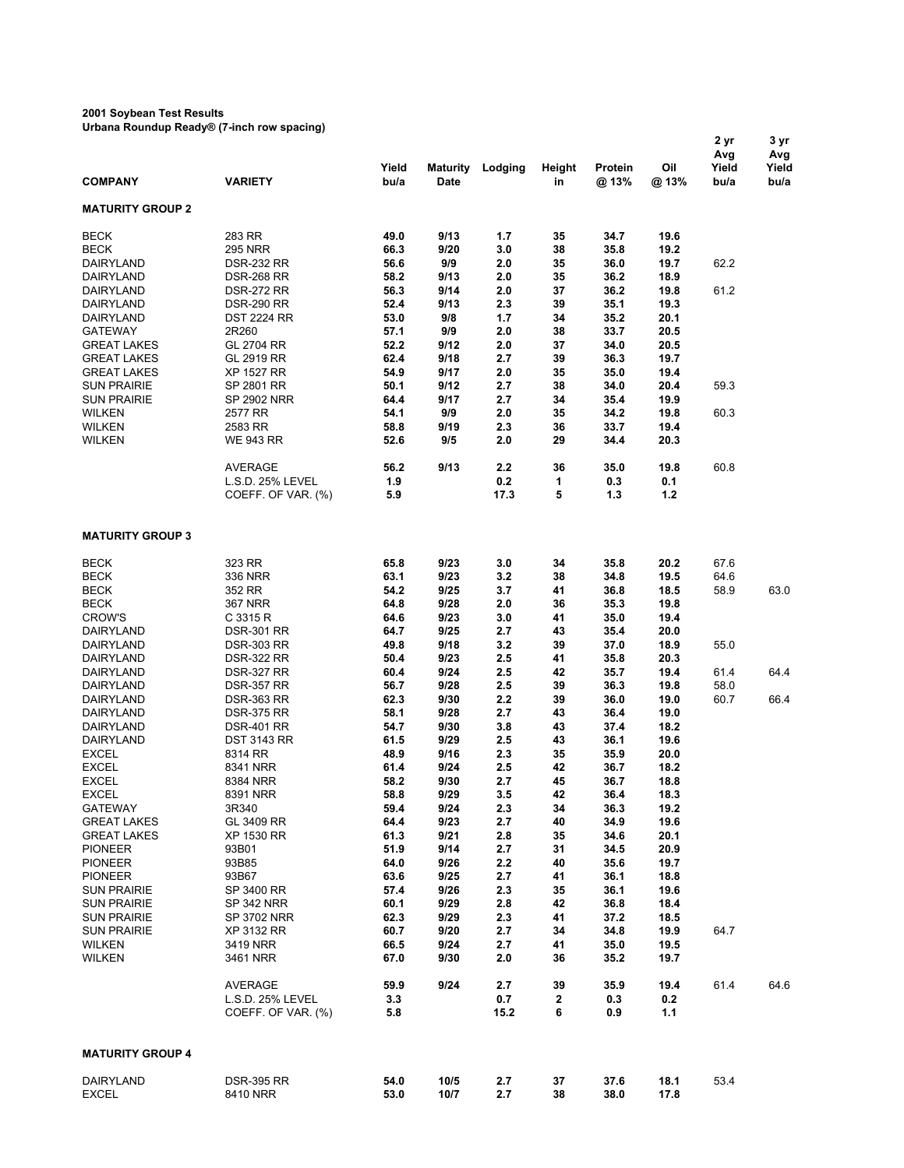## **2001 Soybean Test Results**

**Urbana Roundup Ready® (7-inch row spacing)**

| <b>COMPANY</b>                                                          | <b>VARIETY</b>                                                                   | Yield<br>bu/a                | <b>Maturity</b><br>Date      | Lodging                  | Height<br>in         | Protein<br>@ 13%             | Oil<br>@ 13%                 | Avg<br>Yield<br>bu/a | Avg<br>Yield<br>bu/a |
|-------------------------------------------------------------------------|----------------------------------------------------------------------------------|------------------------------|------------------------------|--------------------------|----------------------|------------------------------|------------------------------|----------------------|----------------------|
| <b>MATURITY GROUP 2</b>                                                 |                                                                                  |                              |                              |                          |                      |                              |                              |                      |                      |
| <b>BECK</b><br><b>BECK</b><br>DAIRYLAND                                 | 283 RR<br><b>295 NRR</b><br><b>DSR-232 RR</b>                                    | 49.0<br>66.3<br>56.6         | 9/13<br>9/20<br>9/9          | 1.7<br>3.0<br>2.0        | 35<br>38<br>35       | 34.7<br>35.8<br>36.0         | 19.6<br>19.2<br>19.7         | 62.2                 |                      |
| DAIRYLAND<br>DAIRYLAND<br>DAIRYLAND                                     | <b>DSR-268 RR</b><br><b>DSR-272 RR</b><br><b>DSR-290 RR</b>                      | 58.2<br>56.3<br>52.4         | 9/13<br>9/14<br>9/13         | 2.0<br>2.0<br>2.3        | 35<br>37<br>39       | 36.2<br>36.2<br>35.1         | 18.9<br>19.8<br>19.3         | 61.2                 |                      |
| DAIRYLAND<br><b>GATEWAY</b><br><b>GREAT LAKES</b><br><b>GREAT LAKES</b> | <b>DST 2224 RR</b><br>2R260<br>GL 2704 RR<br><b>GL 2919 RR</b>                   | 53.0<br>57.1<br>52.2<br>62.4 | 9/8<br>9/9<br>9/12<br>9/18   | 1.7<br>2.0<br>2.0<br>2.7 | 34<br>38<br>37<br>39 | 35.2<br>33.7<br>34.0<br>36.3 | 20.1<br>20.5<br>20.5<br>19.7 |                      |                      |
| <b>GREAT LAKES</b><br><b>SUN PRAIRIE</b><br><b>SUN PRAIRIE</b>          | XP 1527 RR<br>SP 2801 RR<br><b>SP 2902 NRR</b>                                   | 54.9<br>50.1<br>64.4         | 9/17<br>9/12<br>9/17         | 2.0<br>2.7<br>2.7        | 35<br>38<br>34       | 35.0<br>34.0<br>35.4         | 19.4<br>20.4<br>19.9         | 59.3                 |                      |
| <b>WILKEN</b><br><b>WILKEN</b><br><b>WILKEN</b>                         | 2577 RR<br>2583 RR<br><b>WE 943 RR</b>                                           | 54.1<br>58.8<br>52.6         | 9/9<br>9/19<br>9/5           | 2.0<br>2.3<br>2.0        | 35<br>36<br>29       | 34.2<br>33.7<br>34.4         | 19.8<br>19.4<br>20.3         | 60.3                 |                      |
|                                                                         | AVERAGE<br>L.S.D. 25% LEVEL<br>COEFF. OF VAR. (%)                                | 56.2<br>1.9<br>5.9           | 9/13                         | 2.2<br>0.2<br>17.3       | 36<br>1<br>5         | 35.0<br>0.3<br>1.3           | 19.8<br>0.1<br>1.2           | 60.8                 |                      |
| <b>MATURITY GROUP 3</b>                                                 |                                                                                  |                              |                              |                          |                      |                              |                              |                      |                      |
| <b>BECK</b><br><b>BECK</b>                                              | 323 RR<br>336 NRR                                                                | 65.8<br>63.1                 | 9/23<br>9/23                 | 3.0<br>3.2               | 34<br>38             | 35.8<br>34.8                 | 20.2<br>19.5                 | 67.6<br>64.6         |                      |
| <b>BECK</b><br><b>BECK</b><br><b>CROW'S</b>                             | 352 RR<br><b>367 NRR</b><br>C 3315 R                                             | 54.2<br>64.8<br>64.6         | 9/25<br>9/28<br>9/23         | 3.7<br>2.0<br>3.0        | 41<br>36<br>41       | 36.8<br>35.3<br>35.0         | 18.5<br>19.8<br>19.4         | 58.9                 | 63.0                 |
| DAIRYLAND<br>DAIRYLAND<br>DAIRYLAND                                     | <b>DSR-301 RR</b><br><b>DSR-303 RR</b><br><b>DSR-322 RR</b>                      | 64.7<br>49.8<br>50.4         | 9/25<br>9/18<br>9/23         | 2.7<br>3.2<br>2.5        | 43<br>39<br>41       | 35.4<br>37.0<br>35.8         | 20.0<br>18.9<br>20.3         | 55.0                 |                      |
| DAIRYLAND<br>DAIRYLAND<br>DAIRYLAND<br>DAIRYLAND                        | <b>DSR-327 RR</b><br><b>DSR-357 RR</b><br><b>DSR-363 RR</b><br><b>DSR-375 RR</b> | 60.4<br>56.7<br>62.3<br>58.1 | 9/24<br>9/28<br>9/30<br>9/28 | 2.5<br>2.5<br>2.2<br>2.7 | 42<br>39<br>39<br>43 | 35.7<br>36.3<br>36.0<br>36.4 | 19.4<br>19.8<br>19.0<br>19.0 | 61.4<br>58.0<br>60.7 | 64.4<br>66.4         |
| DAIRYLAND<br><b>DAIRYLAND</b><br><b>EXCEL</b>                           | <b>DSR-401 RR</b><br><b>DST 3143 RR</b><br>8314 RR                               | 54.7<br>61.5<br>48.9         | 9/30<br>9/29<br>9/16         | 3.8<br>2.5<br>2.3        | 43<br>43<br>35       | 37.4<br>36.1<br>35.9         | 18.2<br>19.6<br>20.0         |                      |                      |
| <b>EXCEL</b><br><b>EXCEL</b><br><b>EXCEL</b>                            | 8341 NRR<br>8384 NRR<br>8391 NRR                                                 | 61.4<br>58.2<br>58.8         | 9/24<br>9/30<br>9/29         | 2.5<br>2.7<br>3.5        | 42<br>45<br>42       | 36.7<br>36.7<br>36.4         | 18.2<br>18.8<br>18.3         |                      |                      |
| <b>GATEWAY</b><br><b>GREAT LAKES</b><br><b>GREAT LAKES</b>              | 3R340<br>GL 3409 RR<br>XP 1530 RR                                                | 59.4<br>64.4<br>61.3         | 9/24<br>9/23<br>9/21         | 2.3<br>2.7<br>2.8        | 34<br>40<br>35       | 36.3<br>34.9<br>34.6         | 19.2<br>19.6<br>20.1         |                      |                      |
| <b>PIONEER</b><br><b>PIONEER</b><br><b>PIONEER</b>                      | 93B01<br>93B85<br>93B67                                                          | 51.9<br>64.0<br>63.6         | 9/14<br>9/26<br>9/25         | 2.7<br>$2.2\,$<br>2.7    | 31<br>40<br>41       | 34.5<br>35.6<br>36.1         | 20.9<br>19.7<br>18.8         |                      |                      |
| <b>SUN PRAIRIE</b><br><b>SUN PRAIRIE</b><br><b>SUN PRAIRIE</b>          | SP 3400 RR<br>SP 342 NRR<br>SP 3702 NRR<br>XP 3132 RR                            | 57.4<br>60.1<br>62.3<br>60.7 | 9/26<br>9/29<br>9/29<br>9/20 | 2.3<br>2.8<br>2.3<br>2.7 | 35<br>42<br>41<br>34 | 36.1<br>36.8<br>37.2<br>34.8 | 19.6<br>18.4<br>18.5<br>19.9 | 64.7                 |                      |
| <b>SUN PRAIRIE</b><br><b>WILKEN</b><br><b>WILKEN</b>                    | 3419 NRR<br>3461 NRR                                                             | 66.5<br>67.0                 | 9/24<br>9/30                 | 2.7<br>2.0               | 41<br>36             | 35.0<br>35.2                 | 19.5<br>19.7                 |                      |                      |
|                                                                         | AVERAGE<br>L.S.D. 25% LEVEL<br>COEFF. OF VAR. (%)                                | 59.9<br>3.3<br>5.8           | 9/24                         | 2.7<br>0.7<br>15.2       | 39<br>2<br>6         | 35.9<br>0.3<br>0.9           | 19.4<br>0.2<br>1.1           | 61.4                 | 64.6                 |
| <b>MATURITY GROUP 4</b>                                                 |                                                                                  |                              |                              |                          |                      |                              |                              |                      |                      |
| DAIRYLAND<br>EXCEL                                                      | <b>DSR-395 RR</b><br>8410 NRR                                                    | 54.0<br>53.0                 | 10/5<br>10/7                 | 2.7<br>2.7               | 37<br>38             | 37.6<br>38.0                 | 18.1<br>17.8                 | 53.4                 |                      |

**2 yr 3 yr**